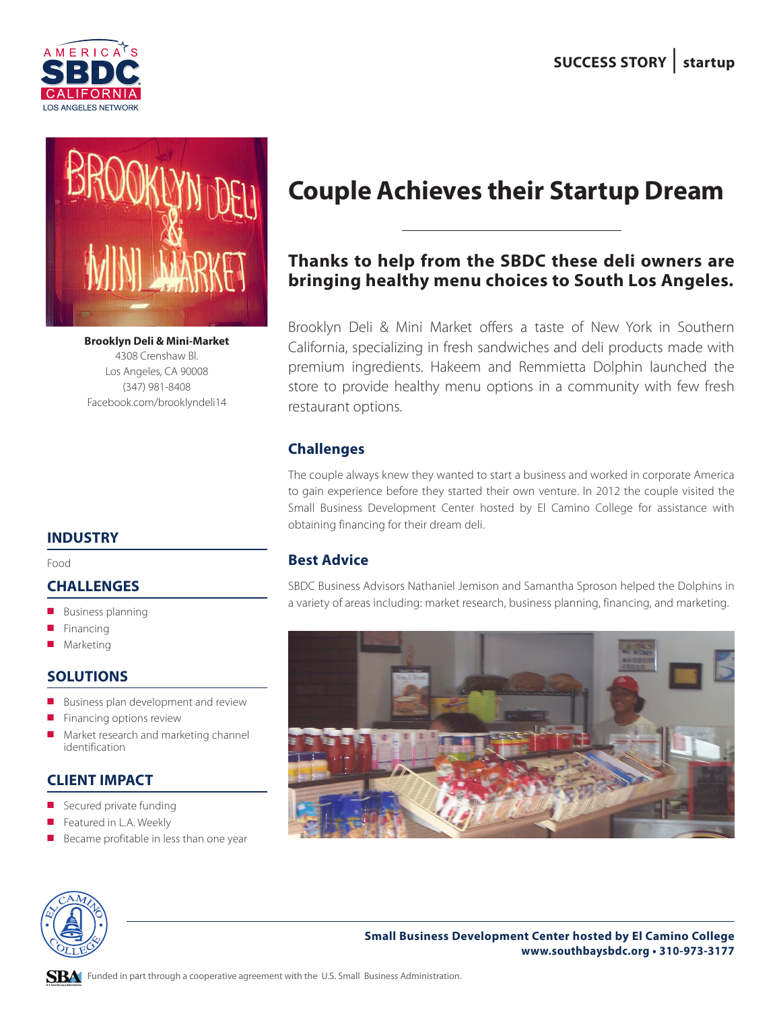



**Brooklyn Deli & Mini-Market** 4308 Crenshaw Bl. Los Angeles, CA 90008 (347) 981-8408 Facebook.com/brooklyndeli14

#### **INDUSTRY**

Food

#### **CHALLENGES**

- $\blacksquare$  Business planning
- Financing
- Marketing

#### **SOLUTIONS**

- Business plan development and review
- $\blacksquare$  Financing options review
- Market research and marketing channel identification

# **CLIENT IMPACT**

- Secured private funding
- Featured in L.A. Weekly
- Became profitable in less than one year

# **Couple Achieves their Startup Dream**

# **Thanks to help from the SBDC these deli owners are bringing healthy menu choices to South Los Angeles.**

Brooklyn Deli & Mini Market offers a taste of New York in Southern California, specializing in fresh sandwiches and deli products made with premium ingredients. Hakeem and Remmietta Dolphin launched the store to provide healthy menu options in a community with few fresh restaurant options.

# **Challenges**

The couple always knew they wanted to start a business and worked in corporate America to gain experience before they started their own venture. In 2012 the couple visited the Small Business Development Center hosted by El Camino College for assistance with obtaining financing for their dream deli.

## **Best Advice**

SBDC Business Advisors Nathaniel Jemison and Samantha Sproson helped the Dolphins in a variety of areas including: market research, business planning, financing, and marketing.





**Small Business Development Center hosted by El Camino College www.southbaysbdc.org • 310-973-3177**